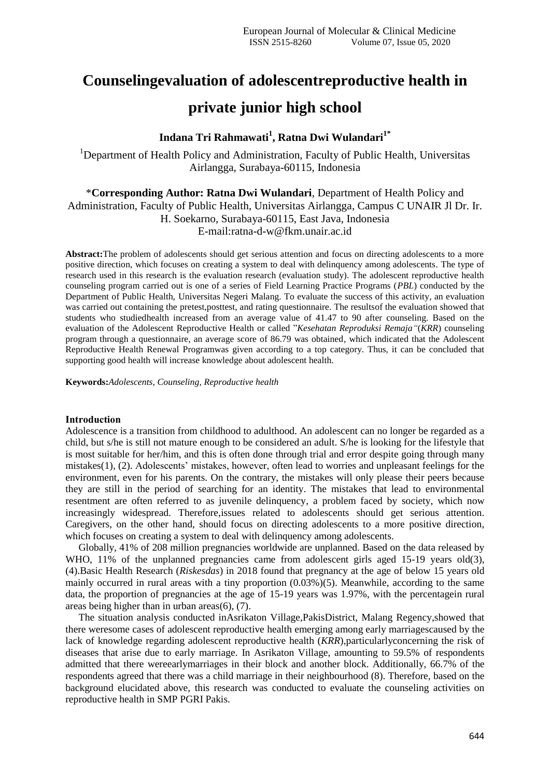# **Counselingevaluation of adolescentreproductive health in private junior high school**

# **Indana Tri Rahmawati<sup>1</sup> , Ratna Dwi Wulandari1\***

<sup>1</sup>Department of Health Policy and Administration, Faculty of Public Health, Universitas Airlangga, Surabaya-60115, Indonesia

\***Corresponding Author: Ratna Dwi Wulandari**, Department of Health Policy and

Administration, Faculty of Public Health, Universitas Airlangga, Campus C UNAIR Jl Dr. Ir.

H. Soekarno, Surabaya-60115, East Java, Indonesia

E-mail:ratna-d-w@fkm.unair.ac.id

**Abstract:**The problem of adolescents should get serious attention and focus on directing adolescents to a more positive direction, which focuses on creating a system to deal with delinquency among adolescents. The type of research used in this research is the evaluation research (evaluation study). The adolescent reproductive health counseling program carried out is one of a series of Field Learning Practice Programs (*PBL*) conducted by the Department of Public Health, Universitas Negeri Malang. To evaluate the success of this activity, an evaluation was carried out containing the pretest,posttest, and rating questionnaire. The resultsof the evaluation showed that students who studiedhealth increased from an average value of 41.47 to 90 after counseling. Based on the evaluation of the Adolescent Reproductive Health or called "*Kesehatan Reproduksi Remaja"*(*KRR*) counseling program through a questionnaire, an average score of 86.79 was obtained, which indicated that the Adolescent Reproductive Health Renewal Programwas given according to a top category. Thus, it can be concluded that supporting good health will increase knowledge about adolescent health.

**Keywords:***Adolescents, Counseling, Reproductive health*

#### **Introduction**

Adolescence is a transition from childhood to adulthood. An adolescent can no longer be regarded as a child, but s/he is still not mature enough to be considered an adult. S/he is looking for the lifestyle that is most suitable for her/him, and this is often done through trial and error despite going through many mistakes(1), (2). Adolescents' mistakes, however, often lead to worries and unpleasant feelings for the environment, even for his parents. On the contrary, the mistakes will only please their peers because they are still in the period of searching for an identity. The mistakes that lead to environmental resentment are often referred to as juvenile delinquency, a problem faced by society, which now increasingly widespread. Therefore,issues related to adolescents should get serious attention. Caregivers, on the other hand, should focus on directing adolescents to a more positive direction, which focuses on creating a system to deal with delinquency among adolescents.

Globally, 41% of 208 million pregnancies worldwide are unplanned. Based on the data released by WHO, 11% of the unplanned pregnancies came from adolescent girls aged 15-19 years old(3), (4).Basic Health Research (*Riskesdas*) in 2018 found that pregnancy at the age of below 15 years old mainly occurred in rural areas with a tiny proportion (0.03%)(5). Meanwhile, according to the same data, the proportion of pregnancies at the age of 15-19 years was 1.97%, with the percentagein rural areas being higher than in urban areas(6), (7).

The situation analysis conducted inAsrikaton Village,PakisDistrict, Malang Regency,showed that there weresome cases of adolescent reproductive health emerging among early marriagescaused by the lack of knowledge regarding adolescent reproductive health (*KRR*),particularlyconcerning the risk of diseases that arise due to early marriage. In Asrikaton Village, amounting to 59.5% of respondents admitted that there wereearlymarriages in their block and another block. Additionally, 66.7% of the respondents agreed that there was a child marriage in their neighbourhood (8). Therefore, based on the background elucidated above, this research was conducted to evaluate the counseling activities on reproductive health in SMP PGRI Pakis.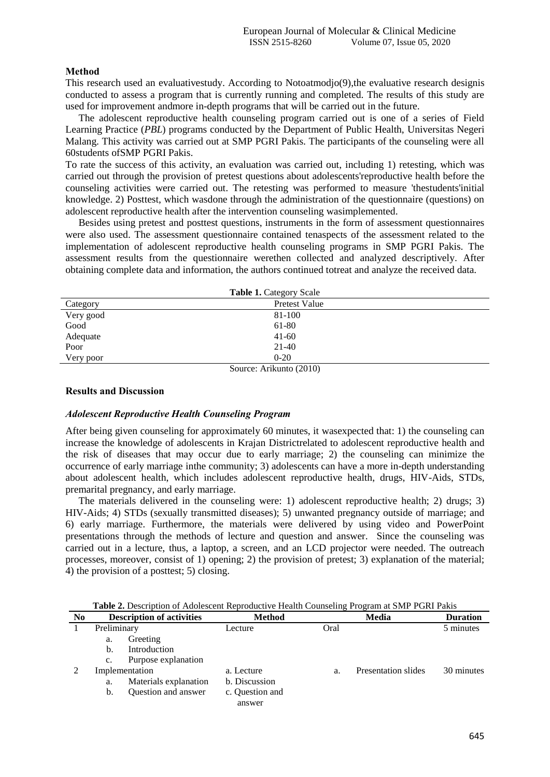#### **Method**

This research used an evaluativestudy. According to Notoatmodjo(9),the evaluative research designis conducted to assess a program that is currently running and completed. The results of this study are used for improvement andmore in-depth programs that will be carried out in the future.

The adolescent reproductive health counseling program carried out is one of a series of Field Learning Practice (*PBL*) programs conducted by the Department of Public Health, Universitas Negeri Malang. This activity was carried out at SMP PGRI Pakis. The participants of the counseling were all 60students ofSMP PGRI Pakis.

To rate the success of this activity, an evaluation was carried out, including 1) retesting, which was carried out through the provision of pretest questions about adolescents'reproductive health before the counseling activities were carried out. The retesting was performed to measure 'thestudents'initial knowledge. 2) Posttest, which wasdone through the administration of the questionnaire (questions) on adolescent reproductive health after the intervention counseling wasimplemented.

Besides using pretest and posttest questions, instruments in the form of assessment questionnaires were also used. The assessment questionnaire contained tenaspects of the assessment related to the implementation of adolescent reproductive health counseling programs in SMP PGRI Pakis. The assessment results from the questionnaire werethen collected and analyzed descriptively. After obtaining complete data and information, the authors continued totreat and analyze the received data.

| <b>Table 1. Category Scale</b> |                                              |  |  |
|--------------------------------|----------------------------------------------|--|--|
| Category                       | Pretest Value                                |  |  |
| Very good                      | 81-100                                       |  |  |
| Good                           | 61-80                                        |  |  |
| Adequate                       | $41-60$                                      |  |  |
| Poor                           | $21-40$                                      |  |  |
| Very poor                      | $0 - 20$                                     |  |  |
|                                | $\alpha$ $\lambda$ $\alpha$ $\beta$ $\alpha$ |  |  |

Source: Arikunto (2010)

#### **Results and Discussion**

#### *Adolescent Reproductive Health Counseling Program*

After being given counseling for approximately 60 minutes, it wasexpected that: 1) the counseling can increase the knowledge of adolescents in Krajan Districtrelated to adolescent reproductive health and the risk of diseases that may occur due to early marriage; 2) the counseling can minimize the occurrence of early marriage inthe community; 3) adolescents can have a more in-depth understanding about adolescent health, which includes adolescent reproductive health, drugs, HIV-Aids, STDs, premarital pregnancy, and early marriage.

The materials delivered in the counseling were: 1) adolescent reproductive health; 2) drugs; 3) HIV-Aids; 4) STDs (sexually transmitted diseases); 5) unwanted pregnancy outside of marriage; and 6) early marriage. Furthermore, the materials were delivered by using video and PowerPoint presentations through the methods of lecture and question and answer. Since the counseling was carried out in a lecture, thus, a laptop, a screen, and an LCD projector were needed. The outreach processes, moreover, consist of 1) opening; 2) the provision of pretest; 3) explanation of the material; 4) the provision of a posttest; 5) closing.

| N <sub>0</sub> |             | <b>Description of activities</b> | <b>Method</b>   |      | Media               | <b>Duration</b> |
|----------------|-------------|----------------------------------|-----------------|------|---------------------|-----------------|
|                | Preliminary |                                  | Lecture         | Oral |                     | 5 minutes       |
|                | a.          | Greeting                         |                 |      |                     |                 |
|                | b.          | Introduction                     |                 |      |                     |                 |
|                | c.          | Purpose explanation              |                 |      |                     |                 |
|                |             | Implementation                   | a. Lecture      | a.   | Presentation slides | 30 minutes      |
|                | a.          | Materials explanation            | b. Discussion   |      |                     |                 |
|                | b.          | Question and answer              | c. Question and |      |                     |                 |
|                |             |                                  | answer          |      |                     |                 |

**Table 2.** Description of Adolescent Reproductive Health Counseling Program at SMP PGRI Pakis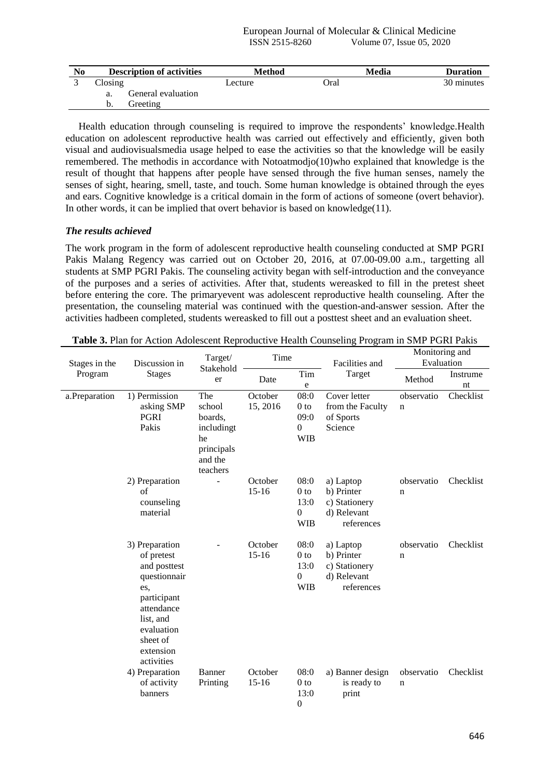| No | <b>Description of activities</b> | Method  | Media       | Duration   |
|----|----------------------------------|---------|-------------|------------|
|    | $\bigcap$ osing                  | Lecture | <b>Oral</b> | 30 minutes |
|    | General evaluation<br>a.         |         |             |            |
|    | Greeting<br>b.                   |         |             |            |

Health education through counseling is required to improve the respondents' knowledge.Health education on adolescent reproductive health was carried out effectively and efficiently, given both visual and audiovisualsmedia usage helped to ease the activities so that the knowledge will be easily remembered. The methodis in accordance with Notoatmodjo(10)who explained that knowledge is the result of thought that happens after people have sensed through the five human senses, namely the senses of sight, hearing, smell, taste, and touch. Some human knowledge is obtained through the eyes and ears. Cognitive knowledge is a critical domain in the form of actions of someone (overt behavior). In other words, it can be implied that overt behavior is based on knowledge(11).

## *The results achieved*

The work program in the form of adolescent reproductive health counseling conducted at SMP PGRI Pakis Malang Regency was carried out on October 20, 2016, at 07.00-09.00 a.m., targetting all students at SMP PGRI Pakis. The counseling activity began with self-introduction and the conveyance of the purposes and a series of activities. After that, students wereasked to fill in the pretest sheet before entering the core. The primaryevent was adolescent reproductive health counseling. After the presentation, the counseling material was continued with the question-and-answer session. After the activities hadbeen completed, students wereasked to fill out a posttest sheet and an evaluation sheet.

| Stages in the | Discussion in                                                                                                                                                      | Target/                                                                           | Time                 |                                                                   | Facilities and<br>Target                                              | Monitoring and<br>Evaluation |                |
|---------------|--------------------------------------------------------------------------------------------------------------------------------------------------------------------|-----------------------------------------------------------------------------------|----------------------|-------------------------------------------------------------------|-----------------------------------------------------------------------|------------------------------|----------------|
| Program       | <b>Stages</b>                                                                                                                                                      | Stakehold<br>er                                                                   |                      | Tim<br>$\mathbf e$                                                |                                                                       | Method                       | Instrume<br>nt |
| a.Preparation | 1) Permission<br>asking SMP<br>PGRI<br>Pakis                                                                                                                       | The<br>school<br>boards.<br>includingt<br>he<br>principals<br>and the<br>teachers | October<br>15, 2016  | 08:0<br>0 <sub>to</sub><br>09:0<br>$\boldsymbol{0}$<br><b>WIB</b> | Cover letter<br>from the Faculty<br>of Sports<br>Science              | observatio<br>n              | Checklist      |
|               | 2) Preparation<br>of<br>counseling<br>material                                                                                                                     |                                                                                   | October<br>$15-16$   | 08:0<br>$0$ to<br>13:0<br>$\boldsymbol{0}$<br><b>WIB</b>          | a) Laptop<br>b) Printer<br>c) Stationery<br>d) Relevant<br>references | observatio<br>n              | Checklist      |
|               | 3) Preparation<br>of pretest<br>and posttest<br>questionnair<br>es.<br>participant<br>attendance<br>list, and<br>evaluation<br>sheet of<br>extension<br>activities |                                                                                   | October<br>$15 - 16$ | 08:0<br>$0$ to<br>13:0<br>$\mathbf{0}$<br><b>WIB</b>              | a) Laptop<br>b) Printer<br>c) Stationery<br>d) Relevant<br>references | observatio<br>n              | Checklist      |
|               | 4) Preparation<br>of activity<br>banners                                                                                                                           | Banner<br>Printing                                                                | October<br>$15 - 16$ | 08:0<br>0 <sub>to</sub><br>13:0<br>$\boldsymbol{0}$               | a) Banner design<br>is ready to<br>print                              | observatio<br>n              | Checklist      |

**Table 3.** Plan for Action Adolescent Reproductive Health Counseling Program in SMP PGRI Pakis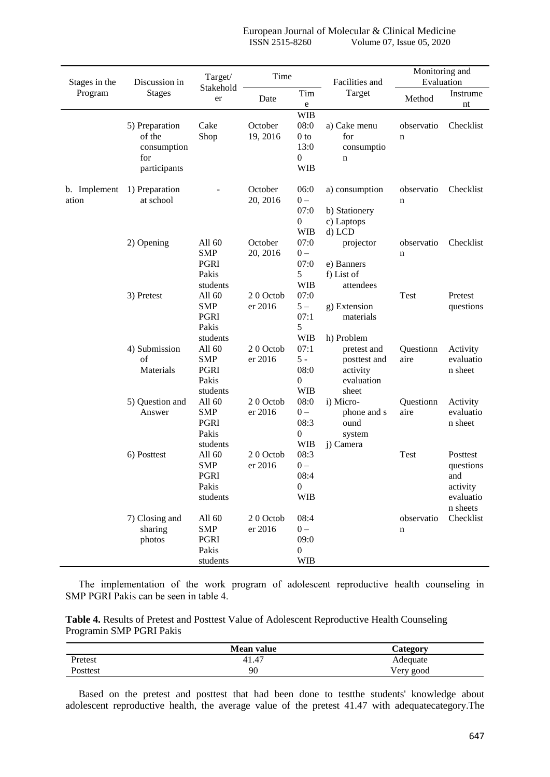|                       |                                                                | Target/                                                  | Time                |                                                                                 |                                                                | Monitoring and            |                                                                   |
|-----------------------|----------------------------------------------------------------|----------------------------------------------------------|---------------------|---------------------------------------------------------------------------------|----------------------------------------------------------------|---------------------------|-------------------------------------------------------------------|
| Stages in the         | Discussion in                                                  | Stakehold                                                |                     |                                                                                 | Facilities and                                                 | Evaluation                |                                                                   |
| Program               | <b>Stages</b>                                                  | er                                                       | Date                | Tim<br>e                                                                        | Target                                                         | Method                    | Instrume<br>nt                                                    |
|                       | 5) Preparation<br>of the<br>consumption<br>for<br>participants | Cake<br>Shop                                             | October<br>19, 2016 | <b>WIB</b><br>08:0<br>0 <sub>to</sub><br>13:0<br>$\boldsymbol{0}$<br><b>WIB</b> | a) Cake menu<br>for<br>consumptio<br>n                         | observatio<br>$\mathbf n$ | Checklist                                                         |
| b. Implement<br>ation | 1) Preparation<br>at school                                    |                                                          | October<br>20, 2016 | 06:0<br>$0 -$<br>07:0<br>$\boldsymbol{0}$<br><b>WIB</b>                         | a) consumption<br>b) Stationery<br>c) Laptops<br>d) LCD        | observatio<br>n           | Checklist                                                         |
|                       | 2) Opening                                                     | All 60<br><b>SMP</b><br>PGRI<br>Pakis<br>students        | October<br>20, 2016 | 07:0<br>$0 -$<br>07:0<br>5<br><b>WIB</b>                                        | projector<br>e) Banners<br>f) List of<br>attendees             | observatio<br>n           | Checklist                                                         |
|                       | 3) Pretest                                                     | All 60<br><b>SMP</b><br>PGRI<br>Pakis<br>students        | 20 Octob<br>er 2016 | 07:0<br>$5-$<br>07:1<br>5<br><b>WIB</b>                                         | g) Extension<br>materials<br>h) Problem                        | Test                      | Pretest<br>questions                                              |
|                       | 4) Submission<br>$\sigma$ f<br>Materials                       | All 60<br><b>SMP</b><br>PGRI<br>Pakis<br>students        | 20 Octob<br>er 2016 | 07:1<br>$5 -$<br>08:0<br>$\overline{0}$<br><b>WIB</b>                           | pretest and<br>posttest and<br>activity<br>evaluation<br>sheet | Questionn<br>aire         | Activity<br>evaluatio<br>n sheet                                  |
|                       | 5) Question and<br>Answer                                      | All 60<br><b>SMP</b><br>PGRI<br>Pakis<br>students        | 20 Octob<br>er 2016 | 08:0<br>$0 -$<br>08:3<br>$\overline{0}$<br><b>WIB</b>                           | i) Micro-<br>phone and s<br>ound<br>system<br>j) Camera        | Questionn<br>aire         | Activity<br>evaluatio<br>n sheet                                  |
|                       | 6) Posttest                                                    | All 60<br><b>SMP</b><br><b>PGRI</b><br>Pakis<br>students | 20 Octob<br>er 2016 | 08:3<br>$0 -$<br>08:4<br>$\boldsymbol{0}$<br><b>WIB</b>                         |                                                                | <b>Test</b>               | Posttest<br>questions<br>and<br>activity<br>evaluatio<br>n sheets |
|                       | 7) Closing and<br>sharing<br>photos                            | All 60<br><b>SMP</b><br>PGRI<br>Pakis<br>students        | 20 Octob<br>er 2016 | 08:4<br>$0 -$<br>09:0<br>$\boldsymbol{0}$<br><b>WIB</b>                         |                                                                | observatio<br>n           | Checklist                                                         |

The implementation of the work program of adolescent reproductive health counseling in SMP PGRI Pakis can be seen in table 4.

**Table 4.** Results of Pretest and Posttest Value of Adolescent Reproductive Health Counseling Programin SMP PGRI Pakis

|          | <b>Mean value</b> | <b>Category</b> |
|----------|-------------------|-----------------|
| Pretest  | 41.47             | Adequate        |
| Posttest | 90                | Very good       |

Based on the pretest and posttest that had been done to testthe students' knowledge about adolescent reproductive health, the average value of the pretest 41.47 with adequatecategory.The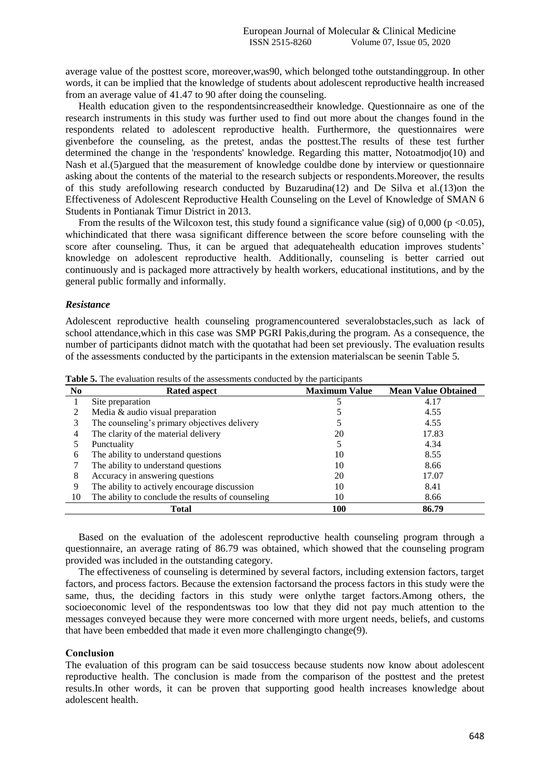average value of the posttest score, moreover,was90, which belonged tothe outstandinggroup. In other words, it can be implied that the knowledge of students about adolescent reproductive health increased from an average value of 41.47 to 90 after doing the counseling.

Health education given to the respondentsincreasedtheir knowledge. Questionnaire as one of the research instruments in this study was further used to find out more about the changes found in the respondents related to adolescent reproductive health. Furthermore, the questionnaires were givenbefore the counseling, as the pretest, andas the posttest.The results of these test further determined the change in the 'respondents' knowledge. Regarding this matter, Notoatmodjo(10) and Nash et al.(5)argued that the measurement of knowledge couldbe done by interview or questionnaire asking about the contents of the material to the research subjects or respondents.Moreover, the results of this study arefollowing research conducted by Buzarudina(12) and De Silva et al.(13)on the Effectiveness of Adolescent Reproductive Health Counseling on the Level of Knowledge of SMAN 6 Students in Pontianak Timur District in 2013.

From the results of the Wilcoxon test, this study found a significance value (sig) of  $0,000$  (p <0.05), whichindicated that there wasa significant difference between the score before counseling with the score after counseling. Thus, it can be argued that adequatehealth education improves students' knowledge on adolescent reproductive health. Additionally, counseling is better carried out continuously and is packaged more attractively by health workers, educational institutions, and by the general public formally and informally.

## *Resistance*

Adolescent reproductive health counseling programencountered severalobstacles,such as lack of school attendance,which in this case was SMP PGRI Pakis,during the program. As a consequence, the number of participants didnot match with the quotathat had been set previously. The evaluation results of the assessments conducted by the participants in the extension materialscan be seenin Table 5.

| N <sub>0</sub> | <b>Rated aspect</b>                               | <b>Maximum Value</b> | <b>Mean Value Obtained</b> |
|----------------|---------------------------------------------------|----------------------|----------------------------|
|                | Site preparation                                  |                      | 4.17                       |
|                | Media & audio visual preparation                  |                      | 4.55                       |
|                | The counseling's primary objectives delivery      |                      | 4.55                       |
| 4              | The clarity of the material delivery              | 20                   | 17.83                      |
|                | Punctuality                                       |                      | 4.34                       |
| 6              | The ability to understand questions               | 10                   | 8.55                       |
|                | The ability to understand questions               | 10                   | 8.66                       |
| 8              | Accuracy in answering questions                   | 20                   | 17.07                      |
| 9              | The ability to actively encourage discussion      | 10                   | 8.41                       |
| 10             | The ability to conclude the results of counseling | 10                   | 8.66                       |
|                | Total                                             | 100                  | 86.79                      |

**Table 5.** The evaluation results of the assessments conducted by the participants

Based on the evaluation of the adolescent reproductive health counseling program through a questionnaire, an average rating of 86.79 was obtained, which showed that the counseling program provided was included in the outstanding category.

The effectiveness of counseling is determined by several factors, including extension factors, target factors, and process factors. Because the extension factorsand the process factors in this study were the same, thus, the deciding factors in this study were onlythe target factors.Among others, the socioeconomic level of the respondentswas too low that they did not pay much attention to the messages conveyed because they were more concerned with more urgent needs, beliefs, and customs that have been embedded that made it even more challengingto change(9).

## **Conclusion**

The evaluation of this program can be said tosuccess because students now know about adolescent reproductive health. The conclusion is made from the comparison of the posttest and the pretest results.In other words, it can be proven that supporting good health increases knowledge about adolescent health.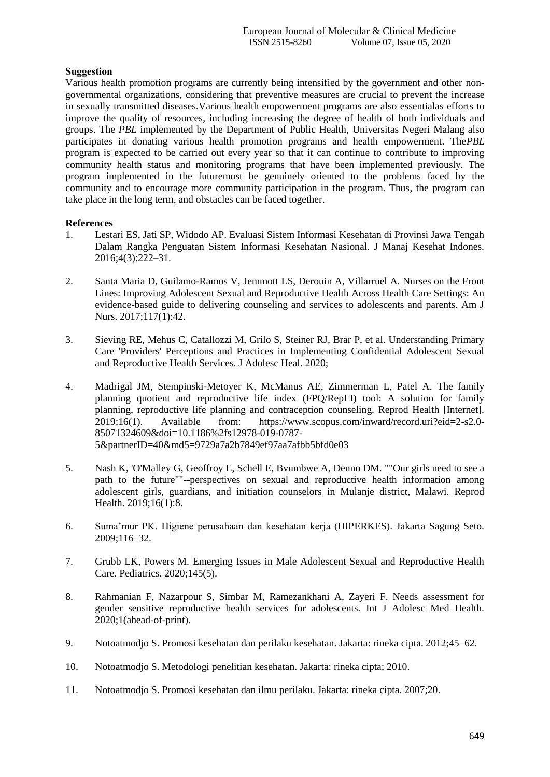# **Suggestion**

Various health promotion programs are currently being intensified by the government and other nongovernmental organizations, considering that preventive measures are crucial to prevent the increase in sexually transmitted diseases.Various health empowerment programs are also essentialas efforts to improve the quality of resources, including increasing the degree of health of both individuals and groups. The *PBL* implemented by the Department of Public Health, Universitas Negeri Malang also participates in donating various health promotion programs and health empowerment. The*PBL* program is expected to be carried out every year so that it can continue to contribute to improving community health status and monitoring programs that have been implemented previously. The program implemented in the futuremust be genuinely oriented to the problems faced by the community and to encourage more community participation in the program. Thus, the program can take place in the long term, and obstacles can be faced together.

## **References**

- 1. Lestari ES, Jati SP, Widodo AP. Evaluasi Sistem Informasi Kesehatan di Provinsi Jawa Tengah Dalam Rangka Penguatan Sistem Informasi Kesehatan Nasional. J Manaj Kesehat Indones. 2016;4(3):222–31.
- 2. Santa Maria D, Guilamo-Ramos V, Jemmott LS, Derouin A, Villarruel A. Nurses on the Front Lines: Improving Adolescent Sexual and Reproductive Health Across Health Care Settings: An evidence-based guide to delivering counseling and services to adolescents and parents. Am J Nurs. 2017;117(1):42.
- 3. Sieving RE, Mehus C, Catallozzi M, Grilo S, Steiner RJ, Brar P, et al. Understanding Primary Care 'Providers' Perceptions and Practices in Implementing Confidential Adolescent Sexual and Reproductive Health Services. J Adolesc Heal. 2020;
- 4. Madrigal JM, Stempinski-Metoyer K, McManus AE, Zimmerman L, Patel A. The family planning quotient and reproductive life index (FPQ/RepLI) tool: A solution for family planning, reproductive life planning and contraception counseling. Reprod Health [Internet]. 2019;16(1). Available from: https://www.scopus.com/inward/record.uri?eid=2-s2.0- 85071324609&doi=10.1186%2fs12978-019-0787- 5&partnerID=40&md5=9729a7a2b7849ef97aa7afbb5bfd0e03
- 5. Nash K, 'O'Malley G, Geoffroy E, Schell E, Bvumbwe A, Denno DM. ""Our girls need to see a path to the future""--perspectives on sexual and reproductive health information among adolescent girls, guardians, and initiation counselors in Mulanje district, Malawi. Reprod Health. 2019;16(1):8.
- 6. Suma'mur PK. Higiene perusahaan dan kesehatan kerja (HIPERKES). Jakarta Sagung Seto. 2009;116–32.
- 7. Grubb LK, Powers M. Emerging Issues in Male Adolescent Sexual and Reproductive Health Care. Pediatrics. 2020;145(5).
- 8. Rahmanian F, Nazarpour S, Simbar M, Ramezankhani A, Zayeri F. Needs assessment for gender sensitive reproductive health services for adolescents. Int J Adolesc Med Health. 2020;1(ahead-of-print).
- 9. Notoatmodjo S. Promosi kesehatan dan perilaku kesehatan. Jakarta: rineka cipta. 2012;45–62.
- 10. Notoatmodjo S. Metodologi penelitian kesehatan. Jakarta: rineka cipta; 2010.
- 11. Notoatmodjo S. Promosi kesehatan dan ilmu perilaku. Jakarta: rineka cipta. 2007;20.